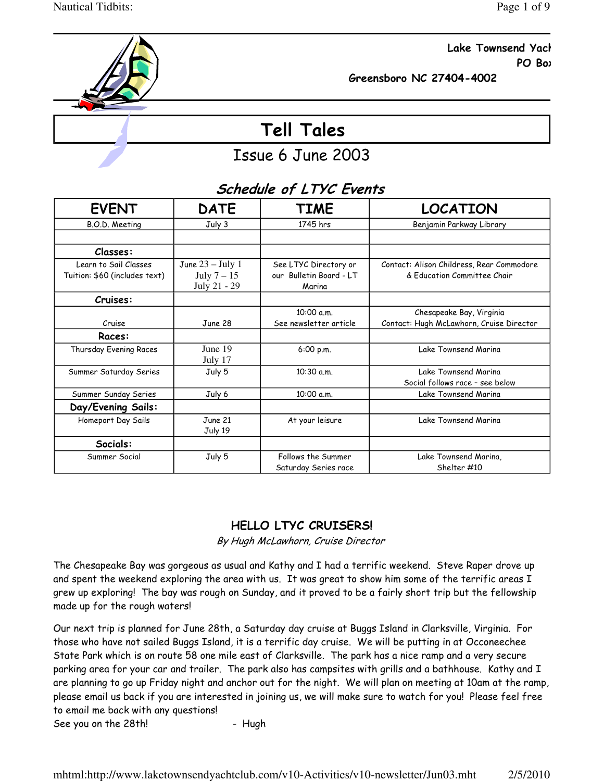

Lake Townsend Yacl **PO Box PO Box** 

Greensboro NC 27404-4002

# Tell Tales

## Issue 6 June 2003

|                               |                    | JUIEUUIE UI LITU EVEIIIS |                                           |
|-------------------------------|--------------------|--------------------------|-------------------------------------------|
| <b>EVENT</b>                  | <b>DATE</b>        | <b>TIME</b>              | <b>LOCATION</b>                           |
| B.O.D. Meeting                | July 3             | 1745 hrs                 | Benjamin Parkway Library                  |
|                               |                    |                          |                                           |
| Classes:                      |                    |                          |                                           |
| Learn to Sail Classes         | June $23 - July 1$ | See LTYC Directory or    | Contact: Alison Childress, Rear Commodore |
| Tuition: \$60 (includes text) | July $7-15$        | our Bulletin Board - LT  | & Education Committee Chair               |
|                               | July 21 - 29       | Marina                   |                                           |
| Cruises:                      |                    |                          |                                           |
|                               |                    | 10:00 a.m.               | Chesapeake Bay, Virginia                  |
| Cruise                        | June 28            | See newsletter article   | Contact: Hugh McLawhorn, Cruise Director  |
| Races:                        |                    |                          |                                           |
| Thursday Evening Races        | June 19            | 6:00 p.m.                | Lake Townsend Marina                      |
|                               | July 17            |                          |                                           |
| Summer Saturday Series        | July 5             | 10:30 a.m.               | Lake Townsend Marina                      |
|                               |                    |                          | Social follows race - see below           |
| Summer Sunday Series          | July 6             | 10:00 a.m.               | Lake Townsend Marina                      |
| Day/Evening Sails:            |                    |                          |                                           |
| Homeport Day Sails            | June 21            | At your leisure          | Lake Townsend Marina                      |
|                               | July 19            |                          |                                           |
| Socials:                      |                    |                          |                                           |
| Summer Social                 | July 5             | Follows the Summer       | Lake Townsend Marina,                     |
|                               |                    | Saturday Series race     | Shelter #10                               |

## Schedule of LTYC Events

## HELLO LTYC CRUISERS!

By Hugh McLawhorn, Cruise Director

The Chesapeake Bay was gorgeous as usual and Kathy and I had a terrific weekend. Steve Raper drove up and spent the weekend exploring the area with us. It was great to show him some of the terrific areas I grew up exploring! The bay was rough on Sunday, and it proved to be a fairly short trip but the fellowship made up for the rough waters!

Our next trip is planned for June 28th, a Saturday day cruise at Buggs Island in Clarksville, Virginia. For those who have not sailed Buggs Island, it is a terrific day cruise. We will be putting in at Occoneechee State Park which is on route 58 one mile east of Clarksville. The park has a nice ramp and a very secure parking area for your car and trailer. The park also has campsites with grills and a bathhouse. Kathy and I are planning to go up Friday night and anchor out for the night. We will plan on meeting at 10am at the ramp, please email us back if you are interested in joining us, we will make sure to watch for you! Please feel free to email me back with any questions!

See you on the 28th! - Hugh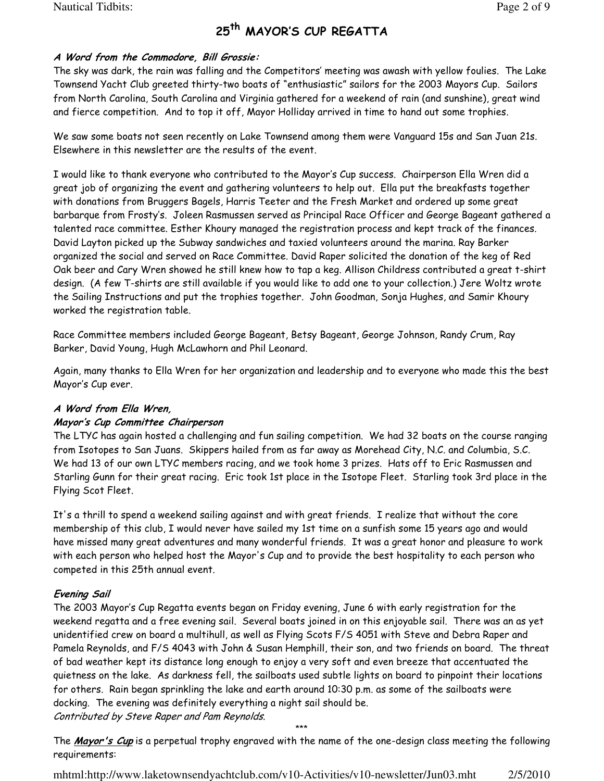Nautical Tidbits: Page 2 of 9

## 25<sup>th</sup> MAYOR'S CUP REGATTA

#### A Word from the Commodore, Bill Grossie:

The sky was dark, the rain was falling and the Competitors' meeting was awash with yellow foulies. The Lake Townsend Yacht Club greeted thirty-two boats of "enthusiastic" sailors for the 2003 Mayors Cup. Sailors from North Carolina, South Carolina and Virginia gathered for a weekend of rain (and sunshine), great wind and fierce competition. And to top it off, Mayor Holliday arrived in time to hand out some trophies.

We saw some boats not seen recently on Lake Townsend among them were Vanguard 15s and San Juan 21s. Elsewhere in this newsletter are the results of the event.

I would like to thank everyone who contributed to the Mayor's Cup success. Chairperson Ella Wren did a great job of organizing the event and gathering volunteers to help out. Ella put the breakfasts together with donations from Bruggers Bagels, Harris Teeter and the Fresh Market and ordered up some great barbarque from Frosty's. Joleen Rasmussen served as Principal Race Officer and George Bageant gathered a talented race committee. Esther Khoury managed the registration process and kept track of the finances. David Layton picked up the Subway sandwiches and taxied volunteers around the marina. Ray Barker organized the social and served on Race Committee. David Raper solicited the donation of the keg of Red Oak beer and Cary Wren showed he still knew how to tap a keg. Allison Childress contributed a great t-shirt design. (A few T-shirts are still available if you would like to add one to your collection.) Jere Woltz wrote the Sailing Instructions and put the trophies together. John Goodman, Sonja Hughes, and Samir Khoury worked the registration table.

Race Committee members included George Bageant, Betsy Bageant, George Johnson, Randy Crum, Ray Barker, David Young, Hugh McLawhorn and Phil Leonard.

Again, many thanks to Ella Wren for her organization and leadership and to everyone who made this the best Mayor's Cup ever.

#### A Word from Ella Wren,

#### Mayor's Cup Committee Chairperson

The LTYC has again hosted a challenging and fun sailing competition. We had 32 boats on the course ranging from Isotopes to San Juans. Skippers hailed from as far away as Morehead City, N.C. and Columbia, S.C. We had 13 of our own LTYC members racing, and we took home 3 prizes. Hats off to Eric Rasmussen and Starling Gunn for their great racing. Eric took 1st place in the Isotope Fleet. Starling took 3rd place in the Flying Scot Fleet.

It's a thrill to spend a weekend sailing against and with great friends. I realize that without the core membership of this club, I would never have sailed my 1st time on a sunfish some 15 years ago and would have missed many great adventures and many wonderful friends. It was a great honor and pleasure to work with each person who helped host the Mayor's Cup and to provide the best hospitality to each person who competed in this 25th annual event.

### Evening Sail

The 2003 Mayor's Cup Regatta events began on Friday evening, June 6 with early registration for the weekend regatta and a free evening sail. Several boats joined in on this enjoyable sail. There was an as yet unidentified crew on board a multihull, as well as Flying Scots F/S 4051 with Steve and Debra Raper and Pamela Reynolds, and F/S 4043 with John & Susan Hemphill, their son, and two friends on board. The threat of bad weather kept its distance long enough to enjoy a very soft and even breeze that accentuated the quietness on the lake. As darkness fell, the sailboats used subtle lights on board to pinpoint their locations for others. Rain began sprinkling the lake and earth around 10:30 p.m. as some of the sailboats were docking. The evening was definitely everything a night sail should be. Contributed by Steve Raper and Pam Reynolds.

\*\*\* The Mayor's Cup is a perpetual trophy engraved with the name of the one-design class meeting the following requirements: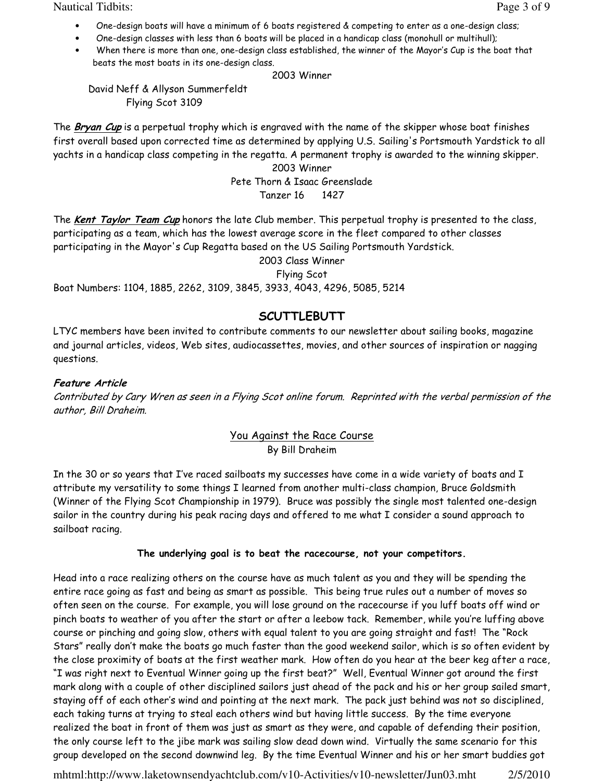Nautical Tidbits: Page 3 of 9

- One-design boats will have a minimum of 6 boats registered & competing to enter as a one-design class;
- One-design classes with less than 6 boats will be placed in a handicap class (monohull or multihull);
- When there is more than one, one-design class established, the winner of the Mayor's Cup is the boat that beats the most boats in its one-design class.

2003 Winner

 David Neff & Allyson Summerfeldt Flying Scot 3109

The Bryan Cup is a perpetual trophy which is engraved with the name of the skipper whose boat finishes first overall based upon corrected time as determined by applying U.S. Sailing's Portsmouth Yardstick to all yachts in a handicap class competing in the regatta. A permanent trophy is awarded to the winning skipper.

2003 Winner Pete Thorn & Isaac Greenslade Tanzer 16 1427

The Kent Taylor Team Cup honors the late Club member. This perpetual trophy is presented to the class, participating as a team, which has the lowest average score in the fleet compared to other classes participating in the Mayor's Cup Regatta based on the US Sailing Portsmouth Yardstick.

2003 Class Winner

Flying Scot

Boat Numbers: 1104, 1885, 2262, 3109, 3845, 3933, 4043, 4296, 5085, 5214

## **SCUTTLEBUTT**

LTYC members have been invited to contribute comments to our newsletter about sailing books, magazine and journal articles, videos, Web sites, audiocassettes, movies, and other sources of inspiration or nagging questions.

## Feature Article

Contributed by Cary Wren as seen in a Flying Scot online forum. Reprinted with the verbal permission of the author, Bill Draheim.

### You Against the Race Course By Bill Draheim

In the 30 or so years that I've raced sailboats my successes have come in a wide variety of boats and I attribute my versatility to some things I learned from another multi-class champion, Bruce Goldsmith (Winner of the Flying Scot Championship in 1979). Bruce was possibly the single most talented one-design sailor in the country during his peak racing days and offered to me what I consider a sound approach to sailboat racing.

### The underlying goal is to beat the racecourse, not your competitors.

Head into a race realizing others on the course have as much talent as you and they will be spending the entire race going as fast and being as smart as possible. This being true rules out a number of moves so often seen on the course. For example, you will lose ground on the racecourse if you luff boats off wind or pinch boats to weather of you after the start or after a leebow tack. Remember, while you're luffing above course or pinching and going slow, others with equal talent to you are going straight and fast! The "Rock Stars" really don't make the boats go much faster than the good weekend sailor, which is so often evident by the close proximity of boats at the first weather mark. How often do you hear at the beer keg after a race, "I was right next to Eventual Winner going up the first beat?" Well, Eventual Winner got around the first mark along with a couple of other disciplined sailors just ahead of the pack and his or her group sailed smart, staying off of each other's wind and pointing at the next mark. The pack just behind was not so disciplined, each taking turns at trying to steal each others wind but having little success. By the time everyone realized the boat in front of them was just as smart as they were, and capable of defending their position, the only course left to the jibe mark was sailing slow dead down wind. Virtually the same scenario for this group developed on the second downwind leg. By the time Eventual Winner and his or her smart buddies got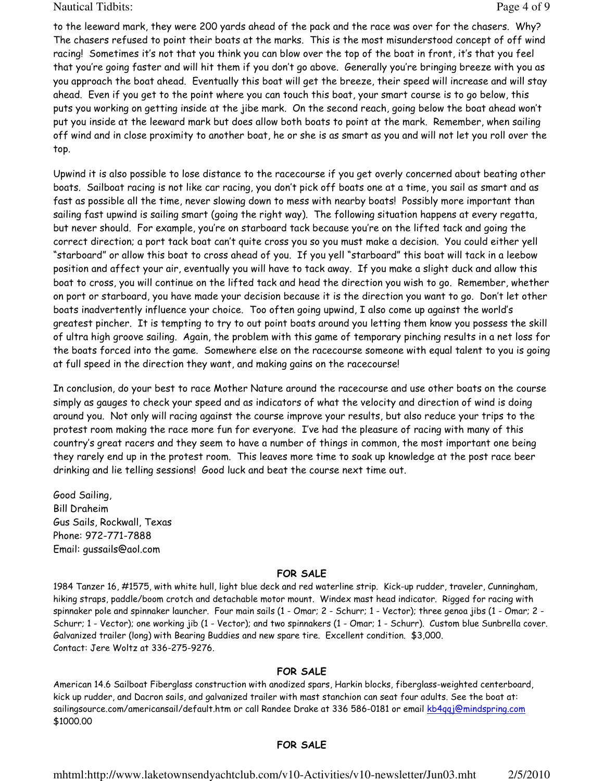Nautical Tidbits: Page 4 of 9

to the leeward mark, they were 200 yards ahead of the pack and the race was over for the chasers. Why? The chasers refused to point their boats at the marks. This is the most misunderstood concept of off wind racing! Sometimes it's not that you think you can blow over the top of the boat in front, it's that you feel that you're going faster and will hit them if you don't go above. Generally you're bringing breeze with you as you approach the boat ahead. Eventually this boat will get the breeze, their speed will increase and will stay ahead. Even if you get to the point where you can touch this boat, your smart course is to go below, this puts you working on getting inside at the jibe mark. On the second reach, going below the boat ahead won't put you inside at the leeward mark but does allow both boats to point at the mark. Remember, when sailing off wind and in close proximity to another boat, he or she is as smart as you and will not let you roll over the top.

Upwind it is also possible to lose distance to the racecourse if you get overly concerned about beating other boats. Sailboat racing is not like car racing, you don't pick off boats one at a time, you sail as smart and as fast as possible all the time, never slowing down to mess with nearby boats! Possibly more important than sailing fast upwind is sailing smart (going the right way). The following situation happens at every regatta, but never should. For example, you're on starboard tack because you're on the lifted tack and going the correct direction; a port tack boat can't quite cross you so you must make a decision. You could either yell "starboard" or allow this boat to cross ahead of you. If you yell "starboard" this boat will tack in a leebow position and affect your air, eventually you will have to tack away. If you make a slight duck and allow this boat to cross, you will continue on the lifted tack and head the direction you wish to go. Remember, whether on port or starboard, you have made your decision because it is the direction you want to go. Don't let other boats inadvertently influence your choice. Too often going upwind, I also come up against the world's greatest pincher. It is tempting to try to out point boats around you letting them know you possess the skill of ultra high groove sailing. Again, the problem with this game of temporary pinching results in a net loss for the boats forced into the game. Somewhere else on the racecourse someone with equal talent to you is going at full speed in the direction they want, and making gains on the racecourse!

In conclusion, do your best to race Mother Nature around the racecourse and use other boats on the course simply as gauges to check your speed and as indicators of what the velocity and direction of wind is doing around you. Not only will racing against the course improve your results, but also reduce your trips to the protest room making the race more fun for everyone. I've had the pleasure of racing with many of this country's great racers and they seem to have a number of things in common, the most important one being they rarely end up in the protest room. This leaves more time to soak up knowledge at the post race beer drinking and lie telling sessions! Good luck and beat the course next time out.

Good Sailing, Bill Draheim Gus Sails, Rockwall, Texas Phone: 972-771-7888 Email: gussails@aol.com

#### FOR SALE

1984 Tanzer 16, #1575, with white hull, light blue deck and red waterline strip. Kick-up rudder, traveler, Cunningham, hiking straps, paddle/boom crotch and detachable motor mount. Windex mast head indicator. Rigged for racing with spinnaker pole and spinnaker launcher. Four main sails (1 - Omar; 2 - Schurr; 1 - Vector); three genoa jibs (1 - Omar; 2 - Schurr; 1 - Vector); one working jib (1 - Vector); and two spinnakers (1 - Omar; 1 - Schurr). Custom blue Sunbrella cover. Galvanized trailer (long) with Bearing Buddies and new spare tire. Excellent condition. \$3,000. Contact: Jere Woltz at 336-275-9276.

#### FOR SALE

American 14.6 Sailboat Fiberglass construction with anodized spars, Harkin blocks, fiberglass-weighted centerboard, kick up rudder, and Dacron sails, and galvanized trailer with mast stanchion can seat four adults. See the boat at: sailingsource.com/americansail/default.htm or call Randee Drake at 336 586-0181 or email kb4qqj@mindspring.com \$1000.00

#### FOR SALE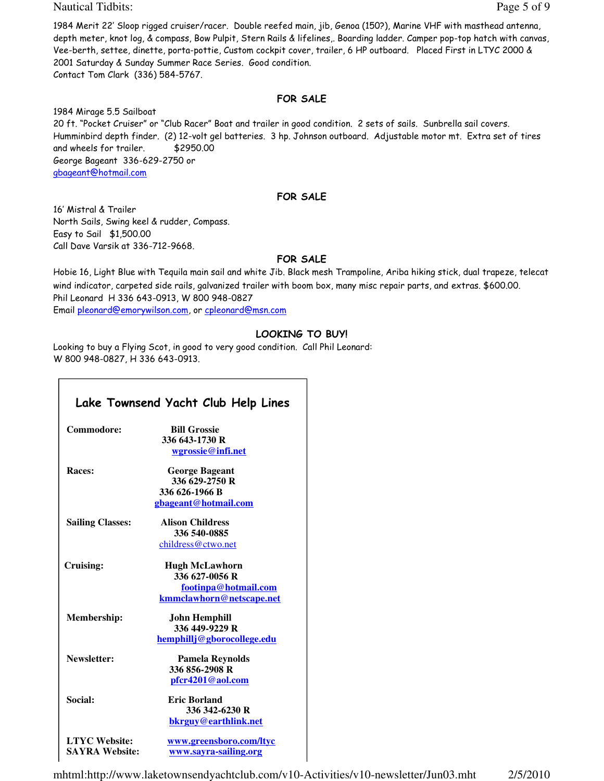Nautical Tidbits: Page 5 of 9

1984 Merit 22' Sloop rigged cruiser/racer. Double reefed main, jib, Genoa (150?), Marine VHF with masthead antenna, depth meter, knot log, & compass, Bow Pulpit, Stern Rails & lifelines,. Boarding ladder. Camper pop-top hatch with canvas, Vee-berth, settee, dinette, porta-pottie, Custom cockpit cover, trailer, 6 HP outboard. Placed First in LTYC 2000 & 2001 Saturday & Sunday Summer Race Series. Good condition. Contact Tom Clark (336) 584-5767.

#### FOR SALE

1984 Mirage 5.5 Sailboat 20 ft. "Pocket Cruiser" or "Club Racer" Boat and trailer in good condition. 2 sets of sails. Sunbrella sail covers. Humminbird depth finder. (2) 12-volt gel batteries. 3 hp. Johnson outboard. Adjustable motor mt. Extra set of tires and wheels for trailer. \$2950.00 George Bageant 336-629-2750 or gbageant@hotmail.com

#### FOR SALE

16' Mistral & Trailer North Sails, Swing keel & rudder, Compass. Easy to Sail \$1,500.00 Call Dave Varsik at 336-712-9668.

#### FOR SALE

Hobie 16, Light Blue with Tequila main sail and white Jib. Black mesh Trampoline, Ariba hiking stick, dual trapeze, telecat wind indicator, carpeted side rails, galvanized trailer with boom box, many misc repair parts, and extras. \$600.00. Phil Leonard H 336 643-0913, W 800 948-0827 Email pleonard@emorywilson.com, or cpleonard@msn.com

### LOOKING TO BUY!

Looking to buy a Flying Scot, in good to very good condition. Call Phil Leonard: W 800 948-0827, H 336 643-0913.

|                         | Lake Townsend Yacht Club Help Lines |
|-------------------------|-------------------------------------|
| Commodore:              | <b>Bill Grossie</b>                 |
|                         | 336 643-1730 R                      |
|                         | wgrossie@infi.net                   |
| Races:                  | <b>George Bageant</b>               |
|                         | 336 629-2750 R                      |
|                         | 336 626-1966 B                      |
|                         | gbageant@hotmail.com                |
| <b>Sailing Classes:</b> | <b>Alison Childress</b>             |
|                         | 336 540-0885                        |
|                         | childress@ctwo.net                  |
| Cruising:               | <b>Hugh McLawhorn</b>               |
|                         | 336 627-0056 R                      |
|                         | footinpa@hotmail.com                |
|                         | kmmclawhorn@netscape.net            |
| Membership:             | John Hemphill                       |
|                         | 336 449-9229 R                      |
|                         | hemphillj@gborocollege.edu          |
| Newsletter:             | <b>Pamela Reynolds</b>              |
|                         | 336 856-2908 R                      |
|                         | pfcr4201@aol.com                    |
| Social:                 | <b>Eric Borland</b>                 |
|                         | 336 342-6230 R                      |
|                         | bkrguy@earthlink.net                |
| <b>LTYC Website:</b>    | www.greensboro.com/ltyc             |
| <b>SAYRA Website:</b>   | www.sayra-sailing.org               |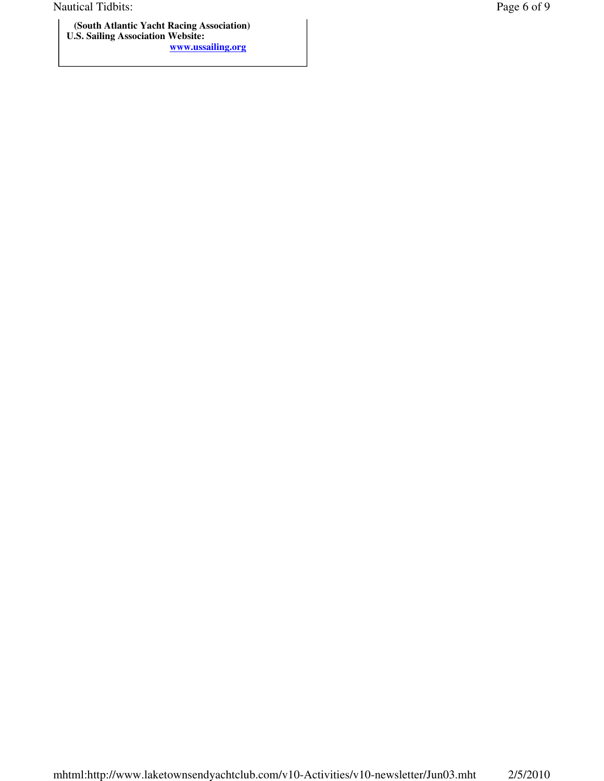Nautical Tidbits: Page 6 of 9

 **(South Atlantic Yacht Racing Association) U.S. Sailing Association Website: www.ussailing.org**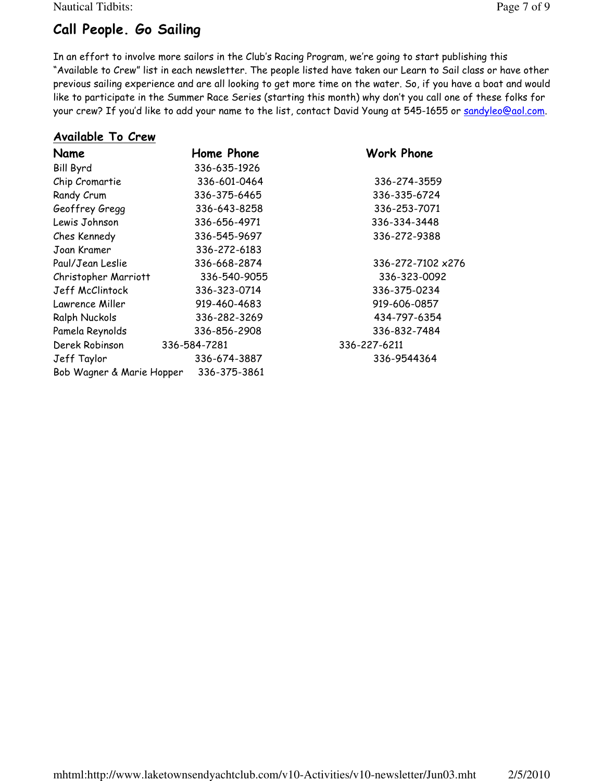Nautical Tidbits: Page 7 of 9

## Call People. Go Sailing

In an effort to involve more sailors in the Club's Racing Program, we're going to start publishing this "Available to Crew" list in each newsletter. The people listed have taken our Learn to Sail class or have other previous sailing experience and are all looking to get more time on the water. So, if you have a boat and would like to participate in the Summer Race Series (starting this month) why don't you call one of these folks for your crew? If you'd like to add your name to the list, contact David Young at 545-1655 or sandyleo@aol.com.

## Available To Crew

| Name                      | Home Phone   | <b>Work Phone</b> |
|---------------------------|--------------|-------------------|
| <b>Bill Byrd</b>          | 336-635-1926 |                   |
| Chip Cromartie            | 336-601-0464 | 336-274-3559      |
| Randy Crum                | 336-375-6465 | 336-335-6724      |
| Geoffrey Gregg            | 336-643-8258 | 336-253-7071      |
| Lewis Johnson             | 336-656-4971 | 336-334-3448      |
| Ches Kennedy              | 336-545-9697 | 336-272-9388      |
| Joan Kramer               | 336-272-6183 |                   |
| Paul/Jean Leslie          | 336-668-2874 | 336-272-7102 x276 |
| Christopher Marriott      | 336-540-9055 | 336-323-0092      |
| Jeff McClintock           | 336-323-0714 | 336-375-0234      |
| Lawrence Miller           | 919-460-4683 | 919-606-0857      |
| Ralph Nuckols             | 336-282-3269 | 434-797-6354      |
| Pamela Reynolds           | 336-856-2908 | 336-832-7484      |
| Derek Robinson            | 336-584-7281 | 336-227-6211      |
| Jeff Taylor               | 336-674-3887 | 336-9544364       |
| Bob Wagner & Marie Hopper | 336-375-3861 |                   |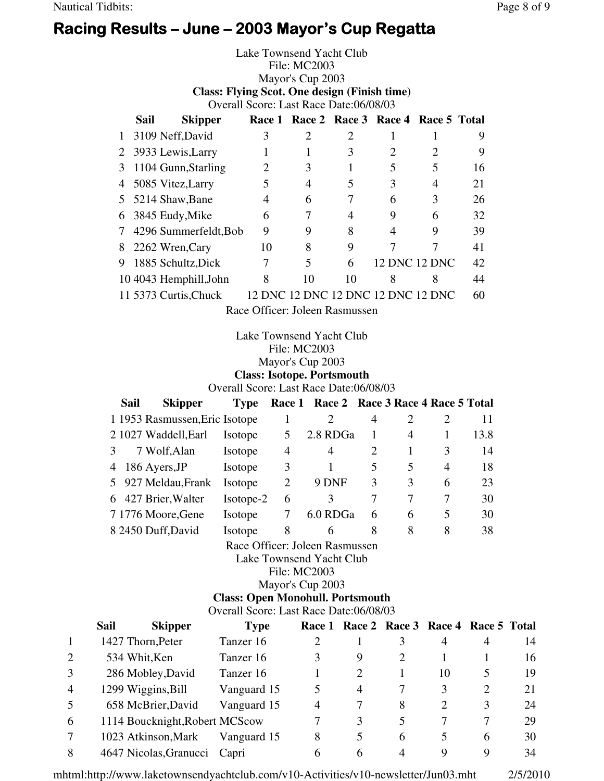## Racing Results – June – 2003 Mayor's Cup Regatta

Lake Townsend Yacht Club File: MC2003 Mayor's Cup 2003 **Class: Flying Scot. One design (Finish time)**  Overall Score: Last Race Date:06/08/03 **Sail Skipper Race 1 Race 2 Race 3 Race 4 Race 5 Total**

|   | 3109 Neff, David        |    |                                    |    |   |                      | 9  |
|---|-------------------------|----|------------------------------------|----|---|----------------------|----|
|   | 2 3933 Lewis, Larry     |    |                                    | 3  |   | $\overline{2}$       | 9  |
| 3 | 1104 Gunn, Starling     |    |                                    |    | 5 | 5                    | 16 |
| 4 | 5085 Vitez, Larry       |    |                                    |    | 3 | 4                    | 21 |
|   | 5 5214 Shaw, Bane       | 4  | 6                                  |    | 6 | 3                    | 26 |
|   | 6 3845 Eudy, Mike       | 6  |                                    |    | 9 | 6                    | 32 |
|   | 7 4296 Summerfeldt, Bob | 9  | 9                                  | 8  | 4 | 9                    | 39 |
|   | 8 2262 Wren, Cary       | 10 | 8                                  | 9  |   |                      | 41 |
| 9 | 1885 Schultz, Dick      |    | 5                                  | 6  |   | <b>12 DNC 12 DNC</b> | 42 |
|   | 10 4043 Hemphill, John  | 8  | 10                                 | 10 |   | 8                    | 44 |
|   | 11 5373 Curtis, Chuck   |    | 12 DNC 12 DNC 12 DNC 12 DNC 12 DNC |    |   |                      | 60 |
|   |                         |    |                                    |    |   |                      |    |

Race Officer: Joleen Rasmussen

### Lake Townsend Yacht Club File: MC2003 Mayor's Cup 2003 **Class: Isotope. Portsmouth**

Overall Score: Last Race Date:06/08/03

|               | <b>Sail</b> | <b>Skipper</b>                 | <b>Type</b> |   | Race 1 Race 2 Race 3 Race 4 Race 5 Total |   |   |               |      |
|---------------|-------------|--------------------------------|-------------|---|------------------------------------------|---|---|---------------|------|
|               |             | 1 1953 Rasmussen, Eric Isotope |             |   |                                          | 4 |   | $\mathcal{D}$ | 11   |
|               |             | 2 1027 Waddell, Earl           | Isotope     |   | 2.8 RDGa                                 |   | 4 |               | 13.8 |
| $\mathcal{E}$ |             | 7 Wolf, Alan                   | Isotope     | 4 | $\overline{4}$                           | 2 |   | 3             | 14   |
| 4             |             | 186 Ayers, JP                  | Isotope     | 3 |                                          | 5 | 5 | 4             | 18   |
|               |             | 5 927 Meldau, Frank            | Isotope     | 2 | 9 DNF                                    | 3 | 3 | 6             | 23   |
| 6             |             | 427 Brier, Walter              | Isotope-2   | 6 | 3                                        | 7 |   | 7             | 30   |
|               |             | 7 1776 Moore, Gene             | Isotope     |   | 6.0 RDGa                                 | 6 | 6 | 5             | 30   |
|               |             | 8 2450 Duff, David             | Isotope     | 8 | 6                                        | 8 | 8 | 8             | 38   |
|               |             |                                |             |   | Race Officer: Joleen Rasmussen           |   |   |               |      |

Race Officer: Joleen Rasmussen

Lake Townsend Yacht Club

File: MC2003

Mayor's Cup 2003

**Class: Open Monohull. Portsmouth** 

Overall Score: Last Race Date:06/08/03

|                | Sail | <b>Skipper</b>                 | <b>Type</b> |                | Race 1 Race 2 Race 3 Race 4 Race 5 Total |   |                       |   |    |
|----------------|------|--------------------------------|-------------|----------------|------------------------------------------|---|-----------------------|---|----|
|                |      | 1427 Thorn, Peter              | Tanzer 16   |                |                                          |   | 4                     | 4 | 14 |
| $\overline{2}$ |      | 534 Whit, Ken                  | Tanzer 16   | 3              | 9                                        |   |                       |   | 16 |
| 3              |      | 286 Mobley, David              | Tanzer 16   |                | 2                                        |   | 10                    |   | 19 |
| $\overline{4}$ |      | 1299 Wiggins, Bill             | Vanguard 15 | 5              | 4                                        |   | 3                     | 2 | 21 |
| -5             |      | 658 McBrier, David             | Vanguard 15 | $\overline{4}$ |                                          | 8 | $\mathcal{D}_{\cdot}$ | 3 | 24 |
| 6              |      | 1114 Boucknight, Robert MCScow |             |                | 3                                        |   |                       |   | 29 |
|                |      | 1023 Atkinson, Mark            | Vanguard 15 | 8              | 5                                        | 6 | 5                     | 6 | 30 |
| 8              |      | 4647 Nicolas, Granucci Capri   |             | 6              | h                                        |   | Q                     | 9 | 34 |